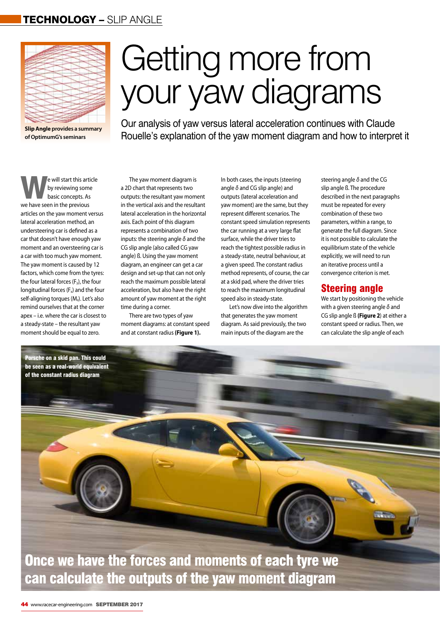### TECHNOLOGY – SLIP ANGLE



**Slip Angle provides a summary of OptimumG's seminars**

# Getting more from your yaw diagrams

Our analysis of yaw versus lateral acceleration continues with Claude Rouelle's explanation of the yaw moment diagram and how to interpret it

en will start this article<br>by reviewing some<br>basic concepts. As by reviewing some basic concepts. As we have seen in the previous articles on the yaw moment versus lateral acceleration method, an understeering car is defined as a car that doesn't have enough yaw moment and an oversteering car is a car with too much yaw moment. The yaw moment is caused by 12 factors, which come from the tyres: the four lateral forces (F<sub>v</sub>), the four longitudinal forces  $(F_x)$  and the four self-aligning torques (M<sub>z</sub>). Let's also remind ourselves that at the corner apex – i.e. where the car is closest to a steady-state – the resultant yaw moment should be equal to zero.

> Porsche on a skid pan. This could be seen as a real-world equivalent of the constant radius diagram

The yaw moment diagram is a 2D chart that represents two outputs: the resultant yaw moment in the vertical axis and the resultant lateral acceleration in the horizontal axis. Each point of this diagram represents a combination of two inputs: the steering angle *δ* and the CG slip angle (also called CG yaw angle) ß. Using the yaw moment diagram, an engineer can get a car design and set-up that can not only reach the maximum possible lateral acceleration, but also have the right amount of yaw moment at the right time during a corner.

There are two types of yaw moment diagrams: at constant speed and at constant radius **(Figure 1).** 

In both cases, the inputs (steering angle *δ* and CG slip angle) and outputs (lateral acceleration and yaw moment) are the same, but they represent different scenarios. The constant speed simulation represents the car running at a very large flat surface, while the driver tries to reach the tightest possible radius in a steady-state, neutral behaviour, at a given speed. The constant radius method represents, of course, the car at a skid pad, where the driver tries to reach the maximum longitudinal speed also in steady-state.

Let's now dive into the algorithm that generates the yaw moment diagram. As said previously, the two main inputs of the diagram are the

steering angle *δ* and the CG slip angle ß. The procedure described in the next paragraphs must be repeated for every combination of these two parameters, within a range, to generate the full diagram. Since it is not possible to calculate the equilibrium state of the vehicle explicitly, we will need to run an iterative process until a convergence criterion is met.

#### Steering angle

We start by positioning the vehicle with a given steering angle *δ* and CG slip angle ß **(Figure 2**) at either a constant speed or radius. Then, we can calculate the slip angle of each

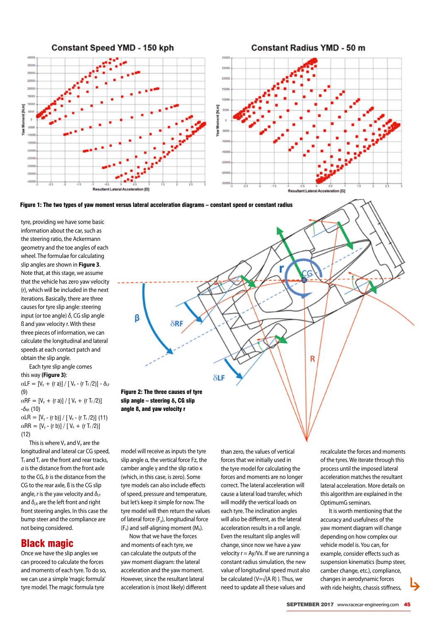



tyre, providing we have some basic information about the car, such as the steering ratio, the Ackermann geometry and the toe angles of each wheel. The formulae for calculating slip angles are shown in **Figure 3**. Note that, at this stage, we assume that the vehicle has zero yaw velocity (r), which will be included in the next iterations. Basically, there are three causes for tyre slip angle: steering input (or toe angle) *δ*, CG slip angle ß and yaw velocity r. With these three pieces of information, we can calculate the longitudinal and lateral speeds at each contact patch and obtain the slip angle.

Each tyre slip angle comes this way **(Figure 3)**:  $\alpha$ LF =  $[V_y + (r a)] / [V_x - (r T_f / 2)] - \delta$ <sub>LF</sub> (9)  $\alpha$ RF = [V<sub>y</sub> + (r a)] / [ V<sub>x</sub> + (r T<sub>f</sub>/2)] -*δ*RF (10)  $\alpha$ LR = [V<sub>y</sub> - (r b)] / [ V<sub>x</sub> - (r T<sub>r</sub> /2)] (11)  $\alpha$ RR = [V<sub>y</sub> - (r b)] / [ V<sub>x</sub> + (r T<sub>r</sub> /2)] (12)

This is where  $V_x$  and  $V_y$  are the longitudinal and lateral car CG speed,  $T_f$  and  $T_f$  are the front and rear tracks, *a* is the distance from the front axle to the CG, *b* is the distance from the CG to the rear axle, ß is the CG slip angle, *r* is the yaw velocity and  $δ$ <sub>LF</sub> and  $\delta_{LR}$  are the left front and right front steering angles. In this case the bump steer and the compliance are not being considered.

#### Black magic

Once we have the slip angles we can proceed to calculate the forces and moments of each tyre. To do so, we can use a simple 'magic formula' tyre model. The magic formula tyre



model will receive as inputs the tyre slip angle α, the vertical force Fz, the camber angle γ and the slip ratio κ (which, in this case, is zero). Some tyre models can also include effects of speed, pressure and temperature, but let's keep it simple for now. The tyre model will then return the values of lateral force (Fy), longitudinal force  $(F_x)$  and self-aligning moment  $(M_z)$ .

Now that we have the forces and moments of each tyre, we can calculate the outputs of the yaw moment diagram: the lateral acceleration and the yaw moment. However, since the resultant lateral acceleration is (most likely) different than zero, the values of vertical forces that we initially used in the tyre model for calculating the forces and moments are no longer correct. The lateral acceleration will cause a lateral load transfer, which will modify the vertical loads on each tyre. The inclination angles will also be different, as the lateral acceleration results in a roll angle. Even the resultant slip angles will change, since now we have a yaw velocity  $r = Ay/Vx$ . If we are running a constant radius simulation, the new value of longitudinal speed must also be calculated ( $V=\sqrt{(A \cap R)}$ ). Thus, we need to update all these values and

recalculate the forces and moments of the tyres. We iterate through this process until the imposed lateral acceleration matches the resultant lateral acceleration. More details on this algorithm are explained in the OptimumG seminars.

It is worth mentioning that the accuracy and usefulness of the yaw moment diagram will change depending on how complex our vehicle model is. You can, for example, consider effects such as suspension kinematics (bump steer, camber change, etc.), compliance, changes in aerodynamic forces with ride heights, chassis stiffness,